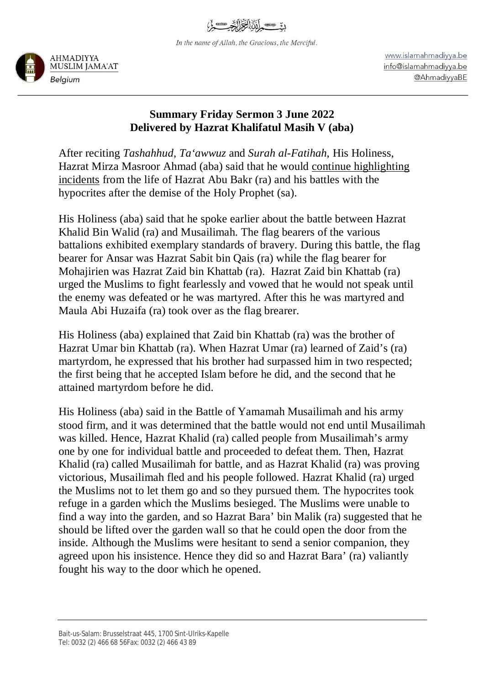In the name of Allah, the Gracious, the Merciful.



www.islamahmadiyya.be info@islamahmadiyya.be @AhmadiyyaBE

## **Summary Friday Sermon 3 June 2022 Delivered by Hazrat Khalifatul Masih V (aba)**

After reciting *Tashahhud*, *Ta'awwuz* and *Surah al-Fatihah*, His Holiness, Hazrat Mirza Masroor Ahmad (aba) said that he would continue highlighting incidents from the life of Hazrat Abu Bakr (ra) and his battles with the hypocrites after the demise of the Holy Prophet (sa).

His Holiness (aba) said that he spoke earlier about the battle between Hazrat Khalid Bin Walid (ra) and Musailimah. The flag bearers of the various battalions exhibited exemplary standards of bravery. During this battle, the flag bearer for Ansar was Hazrat Sabit bin Qais (ra) while the flag bearer for Mohajirien was Hazrat Zaid bin Khattab (ra). Hazrat Zaid bin Khattab (ra) urged the Muslims to fight fearlessly and vowed that he would not speak until the enemy was defeated or he was martyred. After this he was martyred and Maula Abi Huzaifa (ra) took over as the flag brearer.

His Holiness (aba) explained that Zaid bin Khattab (ra) was the brother of Hazrat Umar bin Khattab (ra). When Hazrat Umar (ra) learned of Zaid's (ra) martyrdom, he expressed that his brother had surpassed him in two respected; the first being that he accepted Islam before he did, and the second that he attained martyrdom before he did.

His Holiness (aba) said in the Battle of Yamamah Musailimah and his army stood firm, and it was determined that the battle would not end until Musailimah was killed. Hence, Hazrat Khalid (ra) called people from Musailimah's army one by one for individual battle and proceeded to defeat them. Then, Hazrat Khalid (ra) called Musailimah for battle, and as Hazrat Khalid (ra) was proving victorious, Musailimah fled and his people followed. Hazrat Khalid (ra) urged the Muslims not to let them go and so they pursued them. The hypocrites took refuge in a garden which the Muslims besieged. The Muslims were unable to find a way into the garden, and so Hazrat Bara' bin Malik (ra) suggested that he should be lifted over the garden wall so that he could open the door from the inside. Although the Muslims were hesitant to send a senior companion, they agreed upon his insistence. Hence they did so and Hazrat Bara' (ra) valiantly fought his way to the door which he opened.